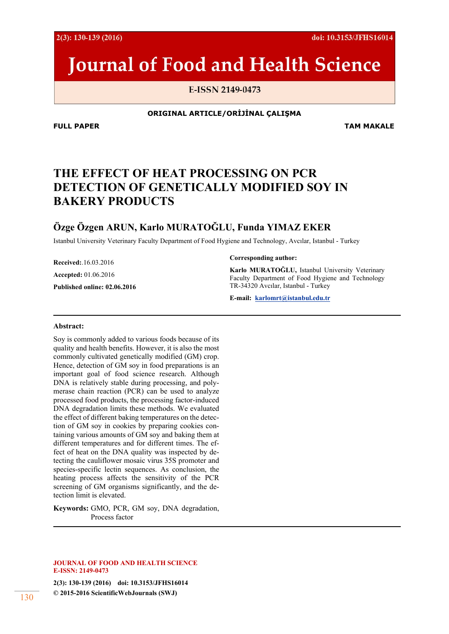2(3): 130-139 (2016)

doi: 10.3153/JFHS16014

# **Journal of Food and Health Science**

E-ISSN 2149-0473

#### **ORIGINAL ARTICLE/ORİJİNAL ÇALIŞMA**

**FULL PAPER TAM MAKALE** 

# **THE EFFECT OF HEAT PROCESSING ON PCR DETECTION OF GENETICALLY MODIFIED SOY IN BAKERY PRODUCTS**

# **Özge Özgen ARUN, Karlo MURATOĞLU, Funda YIMAZ EKER**

Istanbul University Veterinary Faculty Department of Food Hygiene and Technology, Avcılar, Istanbul - Turkey

**Received:**.16.03.2016

**Accepted:** 01.06.2016

**Published online: 02.06.2016** 

#### **Corresponding author:**

**Karlo MURATOĞLU,** Istanbul University Veterinary Faculty Department of Food Hygiene and Technology TR-34320 Avcılar, Istanbul - Turkey

**E-mail: karlomrt@istanbul.edu.tr**

#### **Abstract:**

Soy is commonly added to various foods because of its quality and health benefits. However, it is also the most commonly cultivated genetically modified (GM) crop. Hence, detection of GM soy in food preparations is an important goal of food science research. Although DNA is relatively stable during processing, and polymerase chain reaction (PCR) can be used to analyze processed food products, the processing factor-induced DNA degradation limits these methods. We evaluated the effect of different baking temperatures on the detection of GM soy in cookies by preparing cookies containing various amounts of GM soy and baking them at different temperatures and for different times. The effect of heat on the DNA quality was inspected by detecting the cauliflower mosaic virus 35S promoter and species-specific lectin sequences. As conclusion, the heating process affects the sensitivity of the PCR screening of GM organisms significantly, and the detection limit is elevated.

**Keywords:** GMO, PCR, GM soy, DNA degradation, Process factor

#### **JOURNAL OF FOOD AND HEALTH SCIENCE E-ISSN: 2149-0473**

**2(3): 130-139 (2016) doi: 10.3153/JFHS16014 © 2015-2016 ScientificWebJournals (SWJ)** 130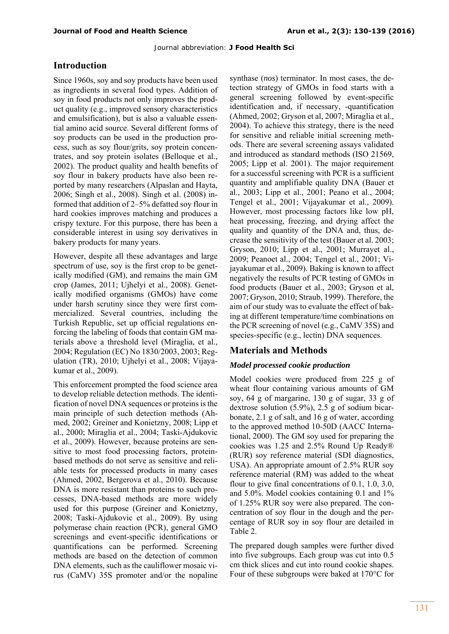## **Introduction**

Since 1960s, soy and soy products have been used as ingredients in several food types. Addition of soy in food products not only improves the product quality (e.g., improved sensory characteristics and emulsification), but is also a valuable essential amino acid source. Several different forms of soy products can be used in the production process, such as soy flour/grits, soy protein concentrates, and soy protein isolates (Belloque et al., 2002). The product quality and health benefits of soy flour in bakery products have also been reported by many researchers (Alpaslan and Hayta, 2006; Singh et al., 2008). Singh et al. (2008) informed that addition of 2–5% defatted soy flour in hard cookies improves matching and produces a crispy texture. For this purpose, there has been a considerable interest in using soy derivatives in bakery products for many years.

However, despite all these advantages and large spectrum of use, soy is the first crop to be genetically modified (GM), and remains the main GM crop (James, 2011; Ujhelyi et al., 2008). Genetically modified organisms (GMOs) have come under harsh scrutiny since they were first commercialized. Several countries, including the Turkish Republic, set up official regulations enforcing the labeling of foods that contain GM materials above a threshold level (Miraglia, et al., 2004; Regulation (EC) No 1830/2003, 2003; Regulation (TR), 2010; Ujhelyi et al., 2008; Vijayakumar et al., 2009).

This enforcement prompted the food science area to develop reliable detection methods. The identification of novel DNA sequences or proteins is the main principle of such detection methods (Ahmed, 2002; Greiner and Konietzny, 2008; Lipp et al., 2000; Miraglia et al., 2004; Taski-Ajdukovic et al., 2009). However, because proteins are sensitive to most food processing factors, proteinbased methods do not serve as sensitive and reliable tests for processed products in many cases (Ahmed, 2002, Bergerova et al., 2010). Because DNA is more resistant than proteins to such processes, DNA-based methods are more widely used for this purpose (Greiner and Konietzny, 2008; Taski-Ajdukovic et al., 2009). By using polymerase chain reaction (PCR), general GMO screenings and event-specific identifications or quantifications can be performed. Screening methods are based on the detection of common DNA elements, such as the cauliflower mosaic virus (CaMV) 35S promoter and/or the nopaline synthase (*nos*) terminator. In most cases, the detection strategy of GMOs in food starts with a general screening followed by event-specific identification and, if necessary, -quantification (Ahmed, 2002; Gryson et al, 2007; Miraglia et al., 2004). To achieve this strategy, there is the need for sensitive and reliable initial screening methods. There are several screening assays validated and introduced as standard methods (ISO 21569, 2005; Lipp et al. 2001). The major requirement for a successful screening with PCR is a sufficient quantity and amplifiable quality DNA (Bauer et al., 2003; Lipp et al., 2001; Peano et al., 2004; Tengel et al., 2001; Vijayakumar et al., 2009). However, most processing factors like low pH, heat processing, freezing, and drying affect the quality and quantity of the DNA and, thus, decrease the sensitivity of the test (Bauer et al. 2003; Gryson, 2010; Lipp et al., 2001; Murrayet al., 2009; Peanoet al., 2004; Tengel et al., 2001; Vijayakumar et al., 2009). Baking is known to affect negatively the results of PCR testing of GMOs in food products (Bauer et al., 2003; Gryson et al, 2007; Gryson, 2010; Straub, 1999). Therefore, the aim of our study was to evaluate the effect of baking at different temperature/time combinations on the PCR screening of novel (e.g., CaMV 35S) and species-specific (e.g., lectin) DNA sequences.

# **Materials and Methods**

#### *Model processed cookie production*

Model cookies were produced from 225 g of wheat flour containing various amounts of GM soy, 64 g of margarine, 130 g of sugar, 33 g of dextrose solution (5.9%), 2.5 g of sodium bicarbonate, 2.1 g of salt, and 16 g of water, according to the approved method 10-50D (AACC International, 2000). The GM soy used for preparing the cookies was 1.25 and 2.5% Round Up Ready® (RUR) soy reference material (SDI diagnostics, USA). An appropriate amount of 2.5% RUR soy reference material (RM) was added to the wheat flour to give final concentrations of 0.1, 1.0, 3.0, and 5.0%. Model cookies containing 0.1 and 1% of 1.25% RUR soy were also prepared. The concentration of soy flour in the dough and the percentage of RUR soy in soy flour are detailed in Table 2.

The prepared dough samples were further dived into five subgroups. Each group was cut into 0.5 cm thick slices and cut into round cookie shapes. Four of these subgroups were baked at 170°C for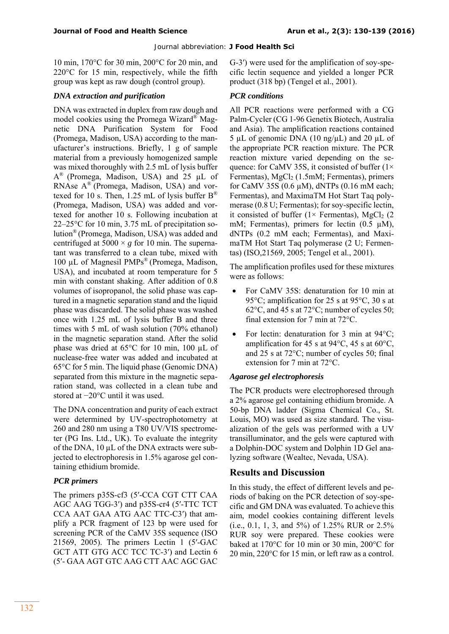10 min, 170°C for 30 min, 200°C for 20 min, and 220°C for 15 min, respectively, while the fifth group was kept as raw dough (control group).

#### *DNA extraction and purification*

DNA was extracted in duplex from raw dough and model cookies using the Promega Wizard® Magnetic DNA Purification System for Food (Promega, Madison, USA) according to the manufacturer's instructions. Briefly, 1 g of sample material from a previously homogenized sample was mixed thoroughly with 2.5 mL of lysis buffer A® (Promega, Madison, USA) and 25 µL of RNAse A® (Promega, Madison, USA) and vortexed for 10 s. Then, 1.25 mL of lysis buffer  $B^{\text{®}}$ (Promega, Madison, USA) was added and vortexed for another 10 s. Following incubation at 22–25°C for 10 min, 3.75 mL of precipitation solution® (Promega, Madison, USA) was added and centrifuged at  $5000 \times g$  for 10 min. The supernatant was transferred to a clean tube, mixed with 100 µL of Magnesil PMPs® (Promega, Madison, USA), and incubated at room temperature for 5 min with constant shaking. After addition of 0.8 volumes of isopropanol, the solid phase was captured in a magnetic separation stand and the liquid phase was discarded. The solid phase was washed once with 1.25 mL of lysis buffer B and three times with 5 mL of wash solution (70% ethanol) in the magnetic separation stand. After the solid phase was dried at 65°C for 10 min, 100 µL of nuclease-free water was added and incubated at 65°C for 5 min. The liquid phase (Genomic DNA) separated from this mixture in the magnetic separation stand, was collected in a clean tube and stored at −20°C until it was used.

The DNA concentration and purity of each extract were determined by UV-spectrophotometry at 260 and 280 nm using a T80 UV/VIS spectrometer (PG Ins. Ltd., UK). To evaluate the integrity of the DNA,  $10 \mu L$  of the DNA extracts were subjected to electrophoresis in 1.5% agarose gel containing ethidium bromide.

#### *PCR primers*

The primers p35S-cf3 (5′-CCA CGT CTT CAA AGC AAG TGG-3′) and p35S-cr4 (5′-TTC TCT CCA AAT GAA ATG AAC TTC-C3′) that amplify a PCR fragment of 123 bp were used for screening PCR of the CaMV 35S sequence (ISO 21569, 2005). The primers Lectin 1 (5′-GAC GCT ATT GTG ACC TCC TC-3') and Lectin 6 (5′- GAA AGT GTC AAG CTT AAC AGC GAC

G-3′) were used for the amplification of soy-specific lectin sequence and yielded a longer PCR product (318 bp) (Tengel et al., 2001).

#### *PCR conditions*

All PCR reactions were performed with a CG Palm-Cycler (CG 1-96 Genetix Biotech, Australia and Asia). The amplification reactions contained 5 µL of genomic DNA (10 ng/µL) and 20 µL of the appropriate PCR reaction mixture. The PCR reaction mixture varied depending on the sequence: for CaMV 35S, it consisted of buffer  $(1 \times$ Fermentas), MgCl<sub>2</sub> (1.5mM; Fermentas), primers for CaMV 35S (0.6  $\mu$ M), dNTPs (0.16 mM each; Fermentas), and MaximaTM Hot Start Taq polymerase (0.8 U; Fermentas); for soy-specific lectin, it consisted of buffer ( $1 \times$  Fermentas), MgCl<sub>2</sub> (2) mM; Fermentas), primers for lectin  $(0.5 \mu M)$ , dNTPs (0.2 mM each; Fermentas), and MaximaTM Hot Start Taq polymerase (2 U; Fermentas) (ISO,21569, 2005; Tengel et al., 2001).

The amplification profiles used for these mixtures were as follows:

- For CaMV 35S: denaturation for 10 min at 95°C; amplification for 25 s at 95°C, 30 s at 62°C, and 45 s at 72°C; number of cycles 50; final extension for 7 min at 72°C.
- For lectin: denaturation for 3 min at 94°C; amplification for 45 s at 94 $\degree$ C, 45 s at 60 $\degree$ C, and 25 s at 72°C; number of cycles 50; final extension for 7 min at 72°C.

#### *Agarose gel electrophoresis*

The PCR products were electrophoresed through a 2% agarose gel containing ethidium bromide. A 50-bp DNA ladder (Sigma Chemical Co., St. Louis, MO) was used as size standard. The visualization of the gels was performed with a UV transilluminator, and the gels were captured with a Dolphin-DOC system and Dolphin 1D Gel analyzing software (Wealtec, Nevada, USA).

### **Results and Discussion**

In this study, the effect of different levels and periods of baking on the PCR detection of soy-specific and GM DNA was evaluated. To achieve this aim, model cookies containing different levels (i.e., 0.1, 1, 3, and 5%) of 1.25% RUR or 2.5% RUR soy were prepared. These cookies were baked at 170°C for 10 min or 30 min, 200°C for 20 min, 220°C for 15 min, or left raw as a control.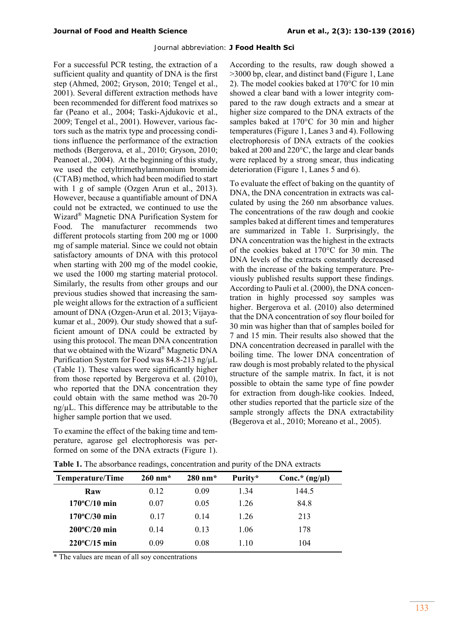For a successful PCR testing, the extraction of a sufficient quality and quantity of DNA is the first step (Ahmed, 2002; Gryson, 2010; Tengel et al., 2001). Several different extraction methods have been recommended for different food matrixes so far (Peano et al., 2004; Taski-Ajdukovic et al., 2009; Tengel et al., 2001). However, various factors such as the matrix type and processing conditions influence the performance of the extraction methods (Bergerova, et al., 2010; Gryson, 2010; Peanoet al., 2004). At the beginning of this study, we used the cetyltrimethylammonium bromide (CTAB) method, which had been modified to start with 1 g of sample (Ozgen Arun et al., 2013). However, because a quantifiable amount of DNA could not be extracted, we continued to use the Wizard® Magnetic DNA Purification System for Food. The manufacturer recommends two different protocols starting from 200 mg or 1000 mg of sample material. Since we could not obtain satisfactory amounts of DNA with this protocol when starting with 200 mg of the model cookie, we used the 1000 mg starting material protocol. Similarly, the results from other groups and our previous studies showed that increasing the sample weight allows for the extraction of a sufficient amount of DNA (Ozgen-Arun et al. 2013; Vijayakumar et al., 2009). Our study showed that a sufficient amount of DNA could be extracted by using this protocol. The mean DNA concentration that we obtained with the Wizard® Magnetic DNA Purification System for Food was 84.8-213 ng/µL (Table 1). These values were significantly higher from those reported by Bergerova et al. (2010), who reported that the DNA concentration they could obtain with the same method was 20-70 ng/µL. This difference may be attributable to the higher sample portion that we used.

To examine the effect of the baking time and temperature, agarose gel electrophoresis was performed on some of the DNA extracts (Figure 1).

According to the results, raw dough showed a >3000 bp, clear, and distinct band (Figure 1, Lane 2). The model cookies baked at 170°C for 10 min showed a clear band with a lower integrity compared to the raw dough extracts and a smear at higher size compared to the DNA extracts of the samples baked at 170°C for 30 min and higher temperatures (Figure 1, Lanes 3 and 4). Following electrophoresis of DNA extracts of the cookies baked at 200 and 220°C, the large and clear bands were replaced by a strong smear, thus indicating deterioration (Figure 1, Lanes 5 and 6).

To evaluate the effect of baking on the quantity of DNA, the DNA concentration in extracts was calculated by using the 260 nm absorbance values. The concentrations of the raw dough and cookie samples baked at different times and temperatures are summarized in Table 1. Surprisingly, the DNA concentration was the highest in the extracts of the cookies baked at 170°C for 30 min. The DNA levels of the extracts constantly decreased with the increase of the baking temperature. Previously published results support these findings. According to Pauli et al. (2000), the DNA concentration in highly processed soy samples was higher. Bergerova et al. (2010) also determined that the DNA concentration of soy flour boiled for 30 min was higher than that of samples boiled for 7 and 15 min. Their results also showed that the DNA concentration decreased in parallel with the boiling time. The lower DNA concentration of raw dough is most probably related to the physical structure of the sample matrix. In fact, it is not possible to obtain the same type of fine powder for extraction from dough-like cookies. Indeed, other studies reported that the particle size of the sample strongly affects the DNA extractability (Begerova et al., 2010; Moreano et al., 2005).

| Temperature/Time       | $260$ nm <sup>*</sup> | $280$ nm <sup>*</sup> | Purity* | Conc.* $(ng/\mu l)$ |
|------------------------|-----------------------|-----------------------|---------|---------------------|
| Raw                    | 0.12                  | 0.09                  | 1.34    | 144.5               |
| $170^{\circ}$ C/10 min | 0.07                  | 0.05                  | 1.26    | 84.8                |
| $170^{\circ}$ C/30 min | 0.17                  | 0.14                  | 1.26    | 213                 |
| $200^{\circ}$ C/20 min | 0.14                  | 0.13                  | 1.06    | 178                 |
| $220^{\circ}$ C/15 min | 0.09                  | 0.08                  | 1.10    | 104                 |

**Table 1.** The absorbance readings, concentration and purity of the DNA extracts

\* The values are mean of all soy concentrations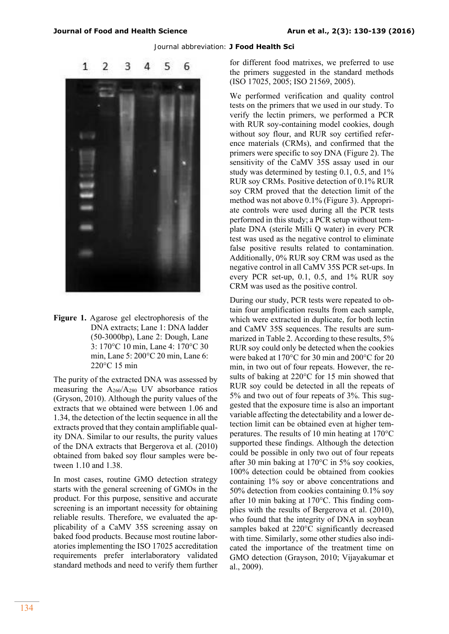

**Figure 1.** Agarose gel electrophoresis of the DNA extracts; Lane 1: DNA ladder (50-3000bp), Lane 2: Dough, Lane 3: 170°C 10 min, Lane 4: 170°C 30 min, Lane 5: 200°C 20 min, Lane 6: 220°C 15 min

The purity of the extracted DNA was assessed by measuring the  $A_{260}/A_{280}$  UV absorbance ratios (Gryson, 2010). Although the purity values of the extracts that we obtained were between 1.06 and 1.34, the detection of the lectin sequence in all the extracts proved that they contain amplifiable quality DNA. Similar to our results, the purity values of the DNA extracts that Bergerova et al. (2010) obtained from baked soy flour samples were between 1.10 and 1.38.

In most cases, routine GMO detection strategy starts with the general screening of GMOs in the product. For this purpose, sensitive and accurate screening is an important necessity for obtaining reliable results. Therefore, we evaluated the applicability of a CaMV 35S screening assay on baked food products. Because most routine laboratories implementing the ISO 17025 accreditation requirements prefer interlaboratory validated standard methods and need to verify them further

for different food matrixes, we preferred to use the primers suggested in the standard methods (ISO 17025, 2005; ISO 21569, 2005).

We performed verification and quality control tests on the primers that we used in our study. To verify the lectin primers, we performed a PCR with RUR soy-containing model cookies, dough without soy flour, and RUR soy certified reference materials (CRMs), and confirmed that the primers were specific to soy DNA (Figure 2). The sensitivity of the CaMV 35S assay used in our study was determined by testing 0.1, 0.5, and 1% RUR soy CRMs. Positive detection of 0.1% RUR soy CRM proved that the detection limit of the method was not above 0.1% (Figure 3). Appropriate controls were used during all the PCR tests performed in this study; a PCR setup without template DNA (sterile Milli Q water) in every PCR test was used as the negative control to eliminate false positive results related to contamination. Additionally, 0% RUR soy CRM was used as the negative control in all CaMV 35S PCR set-ups. In every PCR set-up, 0.1, 0.5, and 1% RUR soy CRM was used as the positive control.

During our study, PCR tests were repeated to obtain four amplification results from each sample, which were extracted in duplicate, for both lectin and CaMV 35S sequences. The results are summarized in Table 2. According to these results, 5% RUR soy could only be detected when the cookies were baked at 170°C for 30 min and 200°C for 20 min, in two out of four repeats. However, the results of baking at 220°C for 15 min showed that RUR soy could be detected in all the repeats of 5% and two out of four repeats of 3%. This suggested that the exposure time is also an important variable affecting the detectability and a lower detection limit can be obtained even at higher temperatures. The results of 10 min heating at 170°C supported these findings. Although the detection could be possible in only two out of four repeats after 30 min baking at 170°C in 5% soy cookies, 100% detection could be obtained from cookies containing 1% soy or above concentrations and 50% detection from cookies containing 0.1% soy after 10 min baking at 170°C. This finding complies with the results of Bergerova et al. (2010), who found that the integrity of DNA in soybean samples baked at 220°C significantly decreased with time. Similarly, some other studies also indicated the importance of the treatment time on GMO detection (Grayson, 2010; Vijayakumar et al., 2009).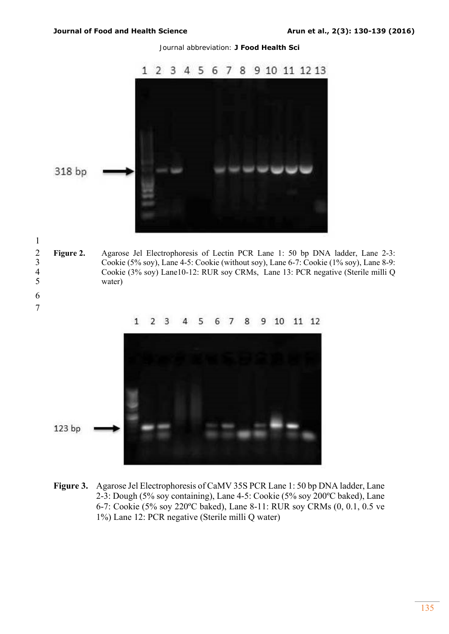6 7 Journal abbreviation: **J Food Health Sci** 



2 **Figure 2.** Agarose Jel Electrophoresis of Lectin PCR Lane 1: 50 bp DNA ladder, Lane 2-3:<br>2 Cookie (5% soy), Lane 4-5: Cookie (without soy), Lane 6-7: Cookie (1% soy), Lane 8-9: 3 Cookie (5% soy), Lane 4-5: Cookie (without soy), Lane 6-7: Cookie (1% soy), Lane 8-9: 4 Cookie (3% soy) Lane10-12: RUR soy CRMs, Lane 13: PCR negative (Sterile milli Q water)





**Figure 3.** Agarose Jel Electrophoresis of CaMV 35S PCR Lane 1: 50 bp DNA ladder, Lane 2-3: Dough (5% soy containing), Lane 4-5: Cookie (5% soy 200ºC baked), Lane 6-7: Cookie (5% soy 220ºC baked), Lane 8-11: RUR soy CRMs (0, 0.1, 0.5 ve 1%) Lane 12: PCR negative (Sterile milli Q water)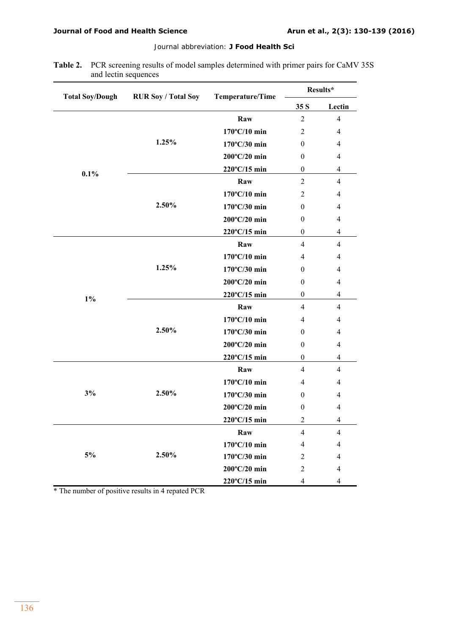| <b>Table 2.</b> PCR screening results of model samples determined with primer pairs for CaMV 35S |
|--------------------------------------------------------------------------------------------------|
| and lectin sequences                                                                             |

| <b>Total Soy/Dough</b>        | <b>RUR Soy / Total Soy</b> | Temperature/Time       | Results*         |                |
|-------------------------------|----------------------------|------------------------|------------------|----------------|
|                               |                            |                        | 35 S             | Lectin         |
| 0.1%                          | 1.25%                      | Raw                    | $\overline{2}$   | $\overline{4}$ |
|                               |                            | 170°C/10 min           | $\overline{2}$   | 4              |
|                               |                            | 170°C/30 min           | $\theta$         | 4              |
|                               |                            | 200°C/20 min           | $\mathbf{0}$     | $\overline{4}$ |
|                               |                            | 220°C/15 min           | $\boldsymbol{0}$ | $\overline{4}$ |
|                               | 2.50%                      | Raw                    | $\overline{2}$   | $\overline{4}$ |
|                               |                            | 170°C/10 min           | $\overline{2}$   | 4              |
|                               |                            | 170°C/30 min           | $\theta$         | $\overline{4}$ |
|                               |                            | 200°C/20 min           | $\mathbf{0}$     | 4              |
|                               |                            | 220°C/15 min           | $\boldsymbol{0}$ | $\overline{4}$ |
| $1\%$                         | 1.25%                      | Raw                    | $\overline{4}$   | $\overline{4}$ |
|                               |                            | 170°C/10 min           | $\overline{4}$   | 4              |
|                               |                            | 170°C/30 min           | $\theta$         | 4              |
|                               |                            | 200°C/20 min           | $\theta$         | $\overline{4}$ |
|                               |                            | 220°C/15 min           | $\boldsymbol{0}$ | $\overline{4}$ |
|                               | 2.50%                      | Raw                    | $\overline{4}$   | $\overline{4}$ |
|                               |                            | 170°C/10 min           | $\overline{4}$   | $\overline{4}$ |
|                               |                            | 170°C/30 min           | $\theta$         | 4              |
|                               |                            | 200°C/20 min           | $\mathbf{0}$     | $\overline{4}$ |
|                               |                            | 220°C/15 min           | $\mathbf{0}$     | $\overline{4}$ |
| 3%                            | 2.50%                      | Raw                    | $\overline{4}$   | $\overline{4}$ |
|                               |                            | 170°C/10 min           | $\overline{4}$   | 4              |
|                               |                            | 170°C/30 min           | $\theta$         | 4              |
|                               |                            | 200°C/20 min           | $\mathbf{0}$     | $\overline{4}$ |
|                               |                            | 220°C/15 min           | $\overline{2}$   | 4              |
| $5\%$<br>$*$ T <sub>1</sub> . | 2.50%<br>motod DCD         | Raw                    | $\overline{4}$   | $\overline{4}$ |
|                               |                            | $170^{\circ}$ C/10 min | 4                | 4              |
|                               |                            | 170°C/30 min           | $\overline{c}$   | 4              |
|                               |                            | 200°C/20 min           | $\overline{2}$   | 4              |
|                               |                            | 220°C/15 min           | 4                | $\overline{4}$ |

The number of positive results in 4 repated PCR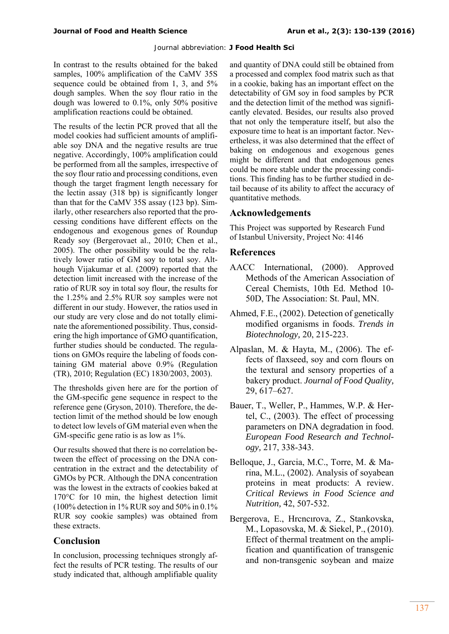In contrast to the results obtained for the baked samples, 100% amplification of the CaMV 35S sequence could be obtained from 1, 3, and 5% dough samples. When the soy flour ratio in the dough was lowered to 0.1%, only 50% positive amplification reactions could be obtained.

The results of the lectin PCR proved that all the model cookies had sufficient amounts of amplifiable soy DNA and the negative results are true negative. Accordingly, 100% amplification could be performed from all the samples, irrespective of the soy flour ratio and processing conditions, even though the target fragment length necessary for the lectin assay (318 bp) is significantly longer than that for the CaMV 35S assay (123 bp). Similarly, other researchers also reported that the processing conditions have different effects on the endogenous and exogenous genes of Roundup Ready soy (Bergerovaet al., 2010; Chen et al., 2005). The other possibility would be the relatively lower ratio of GM soy to total soy. Although Vijakumar et al. (2009) reported that the detection limit increased with the increase of the ratio of RUR soy in total soy flour, the results for the 1.25% and 2.5% RUR soy samples were not different in our study. However, the ratios used in our study are very close and do not totally eliminate the aforementioned possibility. Thus, considering the high importance of GMO quantification, further studies should be conducted. The regulations on GMOs require the labeling of foods containing GM material above 0.9% (Regulation (TR), 2010; Regulation (EC) 1830/2003, 2003).

The thresholds given here are for the portion of the GM-specific gene sequence in respect to the reference gene (Gryson, 2010). Therefore, the detection limit of the method should be low enough to detect low levels of GM material even when the GM-specific gene ratio is as low as 1%.

Our results showed that there is no correlation between the effect of processing on the DNA concentration in the extract and the detectability of GMOs by PCR. Although the DNA concentration was the lowest in the extracts of cookies baked at 170°C for 10 min, the highest detection limit (100% detection in 1% RUR soy and 50% in 0.1% RUR soy cookie samples) was obtained from these extracts.

### **Conclusion**

In conclusion, processing techniques strongly affect the results of PCR testing. The results of our study indicated that, although amplifiable quality

and quantity of DNA could still be obtained from a processed and complex food matrix such as that in a cookie, baking has an important effect on the detectability of GM soy in food samples by PCR and the detection limit of the method was significantly elevated. Besides, our results also proved that not only the temperature itself, but also the exposure time to heat is an important factor. Nevertheless, it was also determined that the effect of baking on endogenous and exogenous genes might be different and that endogenous genes could be more stable under the processing conditions. This finding has to be further studied in detail because of its ability to affect the accuracy of quantitative methods.

### **Acknowledgements**

This Project was supported by Research Fund of Istanbul University, Project No: 4146

#### **References**

- AACC International, (2000). Approved Methods of the American Association of Cereal Chemists, 10th Ed. Method 10- 50D, The Association: St. Paul, MN.
- Ahmed, F.E., (2002). Detection of genetically modified organisms in foods. *Trends in Biotechnology,* 20, 215-223.
- Alpaslan, M. & Hayta, M., (2006). The effects of flaxseed, soy and corn flours on the textural and sensory properties of a bakery product. *Journal of Food Quality,*  29, 617–627.
- Bauer, T., Weller, P., Hammes, W.P. & Hertel, C., (2003). The effect of processing parameters on DNA degradation in food. *European Food Research and Technology,* 217, 338-343.
- Belloque, J., Garcia, M.C., Torre, M. & Marina, M.L., (2002). Analysis of soyabean proteins in meat products: A review. *Critical Reviews in Food Science and Nutrition,* 42, 507-532.
- Bergerova, E., Hrcncırova, Z., Stankovska, M., Lopasovska, M. & Siekel, P., (2010). Effect of thermal treatment on the amplification and quantification of transgenic and non-transgenic soybean and maize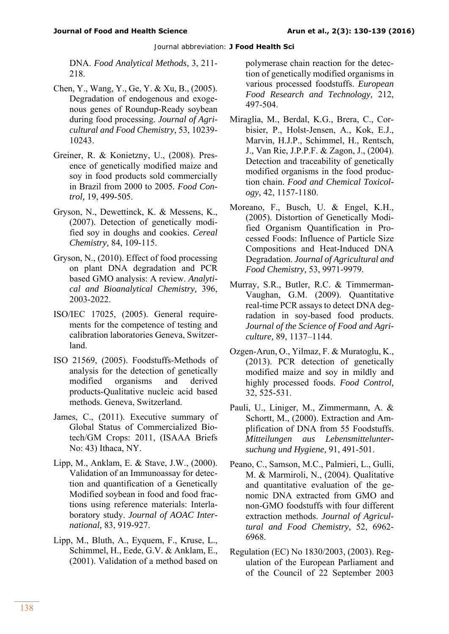DNA. *Food Analytical Methods,* 3, 211- 218.

- Chen, Y., Wang, Y., Ge, Y. & Xu, B., (2005). Degradation of endogenous and exogenous genes of Roundup-Ready soybean during food processing. *Journal of Agricultural and Food Chemistry,* 53, 10239- 10243.
- Greiner, R. & Konietzny, U., (2008). Presence of genetically modified maize and soy in food products sold commercially in Brazil from 2000 to 2005*. Food Control,* 19, 499-505.
- Gryson, N., Dewettinck, K. & Messens, K., (2007). Detection of genetically modified soy in doughs and cookies. *Cereal Chemistry,* 84, 109-115.
- Gryson, N., (2010). Effect of food processing on plant DNA degradation and PCR based GMO analysis: A review. *Analytical and Bioanalytical Chemistry,* 396, 2003-2022.
- ISO/IEC 17025, (2005). General requirements for the competence of testing and calibration laboratories Geneva, Switzerland.
- ISO 21569, (2005). Foodstuffs-Methods of analysis for the detection of genetically modified organisms and derived products-Qualitative nucleic acid based methods. Geneva, Switzerland.
- James, C., (2011). Executive summary of Global Status of Commercialized Biotech/GM Crops: 2011, (ISAAA Briefs No: 43) Ithaca, NY.
- Lipp, M., Anklam, E. & Stave, J.W., (2000). Validation of an Immunoassay for detection and quantification of a Genetically Modified soybean in food and food fractions using reference materials: Interlaboratory study. *Journal of AOAC International,* 83, 919-927.
- Lipp, M., Bluth, A., Eyquem, F., Kruse, L., Schimmel, H., Eede, G.V. & Anklam, E., (2001). Validation of a method based on

polymerase chain reaction for the detection of genetically modified organisms in various processed foodstuffs. *European Food Research and Technology,* 212, 497-504.

- Miraglia, M., Berdal, K.G., Brera, C., Corbisier, P., Holst-Jensen, A., Kok, E.J., Marvin, H.J.P., Schimmel, H., Rentsch, J., Van Rie, J.P.P.F. & Zagon, J., (2004). Detection and traceability of genetically modified organisms in the food production chain. *Food and Chemical Toxicology,* 42, 1157-1180.
- Moreano, F., Busch, U. & Engel, K.H., (2005). Distortion of Genetically Modified Organism Quantification in Processed Foods: Influence of Particle Size Compositions and Heat-Induced DNA Degradation. *Journal of Agricultural and Food Chemistry,* 53, 9971-9979.
- Murray, S.R., Butler, R.C. & Timmerman-Vaughan, G.M. (2009). Quantitative real-time PCR assays to detect DNA degradation in soy-based food products. *Journal of the Science of Food and Agriculture,* 89, 1137–1144.
- Ozgen-Arun, O., Yilmaz, F. & Muratoglu, K., (2013). PCR detection of genetically modified maize and soy in mildly and highly processed foods. *Food Control,* 32, 525-531.
- Pauli, U., Liniger, M., Zimmermann, A. & Schortt, M., (2000). Extraction and Amplification of DNA from 55 Foodstuffs. *Mitteilungen aus Lebensmitteluntersuchung und Hygiene,* 91, 491-501.
- Peano, C., Samson, M.C., Palmieri, L., Gulli, M. & Marmiroli, N., (2004). Qualitative and quantitative evaluation of the genomic DNA extracted from GMO and non-GMO foodstuffs with four different extraction methods. *Journal of Agricultural and Food Chemistry,* 52, 6962- 6968.
- Regulation (EC) No 1830/2003, (2003). Regulation of the European Parliament and of the Council of 22 September 2003